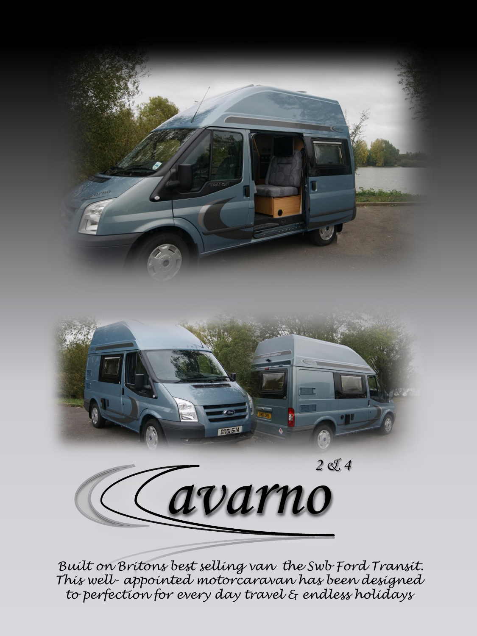



*Built on Britons best selling van the Swb Ford Transit. This well- appointed motorcaravan has been designed to perfection for every day travel & endless holidays*